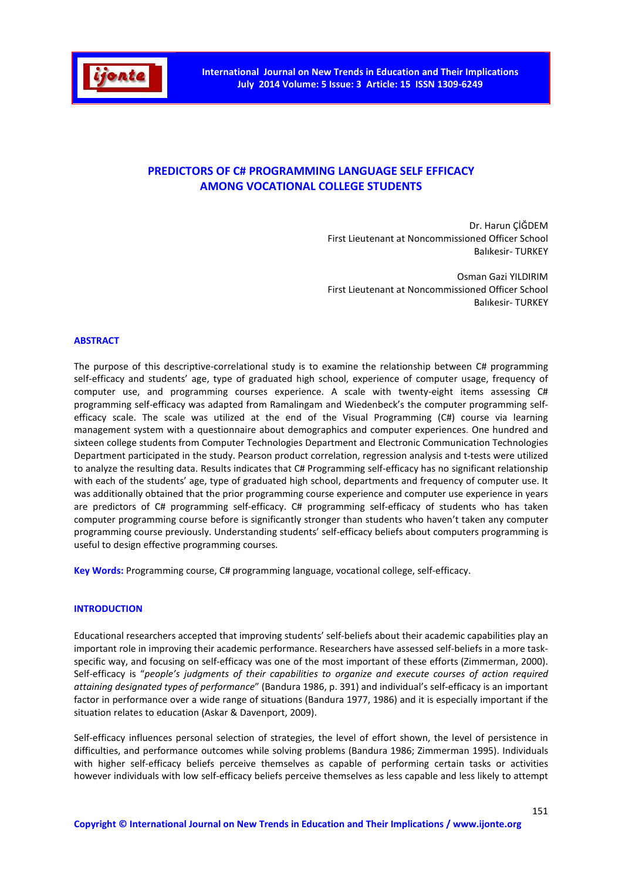

# **PREDICTORS OF C# PROGRAMMING LANGUAGE SELF EFFICACY AMONG VOCATIONAL COLLEGE STUDENTS**

Dr. Harun ÇİĞDEM First Lieutenant at Noncommissioned Officer School Balıkesir- TURKEY

Osman Gazi YILDIRIM First Lieutenant at Noncommissioned Officer School Balıkesir- TURKEY

#### **ABSTRACT**

The purpose of this descriptive-correlational study is to examine the relationship between C# programming self-efficacy and students' age, type of graduated high school, experience of computer usage, frequency of computer use, and programming courses experience. A scale with twenty-eight items assessing C# programming self-efficacy was adapted from Ramalingam and Wiedenbeck's the computer programming selfefficacy scale. The scale was utilized at the end of the Visual Programming (C#) course via learning management system with a questionnaire about demographics and computer experiences. One hundred and sixteen college students from Computer Technologies Department and Electronic Communication Technologies Department participated in the study. Pearson product correlation, regression analysis and t-tests were utilized to analyze the resulting data. Results indicates that C# Programming self-efficacy has no significant relationship with each of the students' age, type of graduated high school, departments and frequency of computer use. It was additionally obtained that the prior programming course experience and computer use experience in years are predictors of C# programming self-efficacy. C# programming self-efficacy of students who has taken computer programming course before is significantly stronger than students who haven't taken any computer programming course previously. Understanding students' self-efficacy beliefs about computers programming is useful to design effective programming courses.

**Key Words:** Programming course, C# programming language, vocational college, self-efficacy.

#### **INTRODUCTION**

Educational researchers accepted that improving students' self-beliefs about their academic capabilities play an important role in improving their academic performance. Researchers have assessed self-beliefs in a more taskspecific way, and focusing on self-efficacy was one of the most important of these efforts (Zimmerman, 2000). Self-efficacy is "*people's judgments of their capabilities to organize and execute courses of action required attaining designated types of performance*" (Bandura 1986, p. 391) and individual's self-efficacy is an important factor in performance over a wide range of situations (Bandura 1977, 1986) and it is especially important if the situation relates to education (Askar & Davenport, 2009).

Self-efficacy influences personal selection of strategies, the level of effort shown, the level of persistence in difficulties, and performance outcomes while solving problems (Bandura 1986; Zimmerman 1995). Individuals with higher self-efficacy beliefs perceive themselves as capable of performing certain tasks or activities however individuals with low self-efficacy beliefs perceive themselves as less capable and less likely to attempt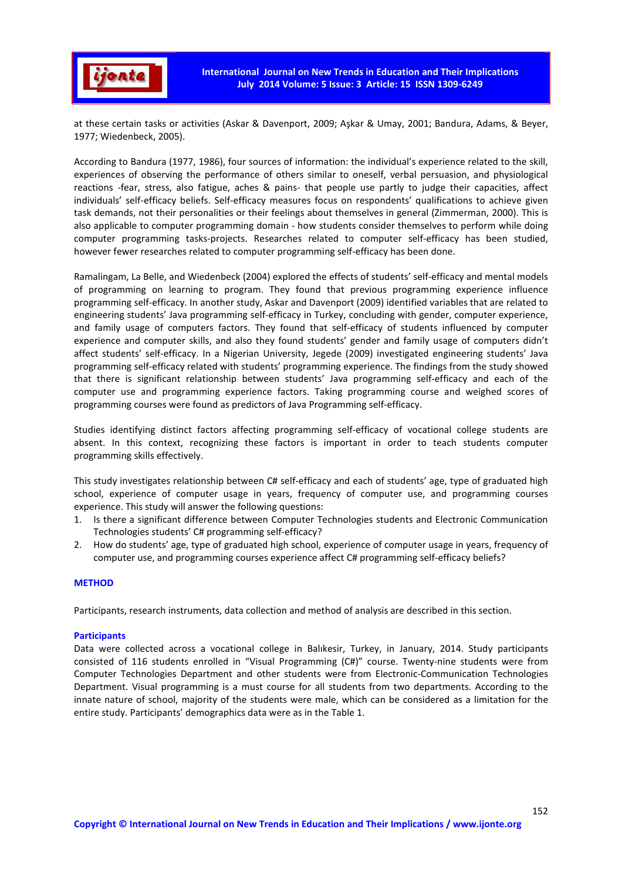

at these certain tasks or activities (Askar & Davenport, 2009; Aşkar & Umay, 2001; Bandura, Adams, & Beyer, 1977; Wiedenbeck, 2005).

According to Bandura (1977, 1986), four sources of information: the individual's experience related to the skill, experiences of observing the performance of others similar to oneself, verbal persuasion, and physiological reactions -fear, stress, also fatigue, aches & pains- that people use partly to judge their capacities, affect individuals' self-efficacy beliefs. Self-efficacy measures focus on respondents' qualifications to achieve given task demands, not their personalities or their feelings about themselves in general (Zimmerman, 2000). This is also applicable to computer programming domain - how students consider themselves to perform while doing computer programming tasks-projects. Researches related to computer self-efficacy has been studied, however fewer researches related to computer programming self-efficacy has been done.

Ramalingam, La Belle, and Wiedenbeck (2004) explored the effects of students' self-efficacy and mental models of programming on learning to program. They found that previous programming experience influence programming self-efficacy. In another study, Askar and Davenport (2009) identified variables that are related to engineering students' Java programming self-efficacy in Turkey, concluding with gender, computer experience, and family usage of computers factors. They found that self-efficacy of students influenced by computer experience and computer skills, and also they found students' gender and family usage of computers didn't affect students' self-efficacy. In a Nigerian University, Jegede (2009) investigated engineering students' Java programming self-efficacy related with students' programming experience. The findings from the study showed that there is significant relationship between students' Java programming self-efficacy and each of the computer use and programming experience factors. Taking programming course and weighed scores of programming courses were found as predictors of Java Programming self-efficacy.

Studies identifying distinct factors affecting programming self-efficacy of vocational college students are absent. In this context, recognizing these factors is important in order to teach students computer programming skills effectively.

This study investigates relationship between C# self-efficacy and each of students' age, type of graduated high school, experience of computer usage in years, frequency of computer use, and programming courses experience. This study will answer the following questions:

- 1. Is there a significant difference between Computer Technologies students and Electronic Communication Technologies students' C# programming self-efficacy?
- 2. How do students' age, type of graduated high school, experience of computer usage in years, frequency of computer use, and programming courses experience affect C# programming self-efficacy beliefs?

## **METHOD**

Participants, research instruments, data collection and method of analysis are described in this section.

## **Participants**

Data were collected across a vocational college in Balıkesir, Turkey, in January, 2014. Study participants consisted of 116 students enrolled in "Visual Programming (C#)" course. Twenty-nine students were from Computer Technologies Department and other students were from Electronic-Communication Technologies Department. Visual programming is a must course for all students from two departments. According to the innate nature of school, majority of the students were male, which can be considered as a limitation for the entire study. Participants' demographics data were as in the Table 1.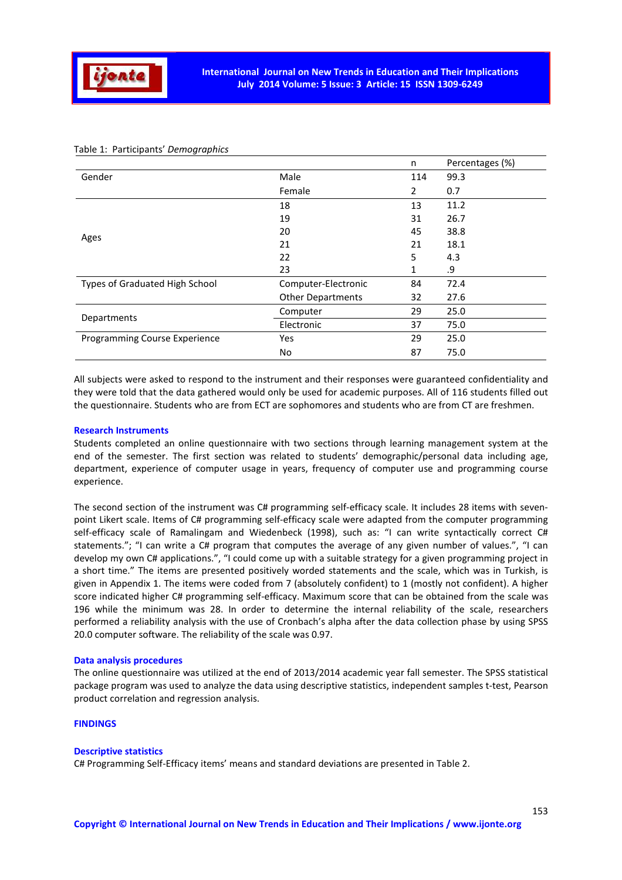

|                                |                          | n              | Percentages (%) |
|--------------------------------|--------------------------|----------------|-----------------|
| Gender                         | Male                     | 114            | 99.3            |
|                                | Female                   | $\overline{2}$ | 0.7             |
|                                | 18                       | 13             | 11.2            |
|                                | 19                       | 31             | 26.7            |
| Ages                           | 20                       | 45             | 38.8            |
|                                | 21                       | 21             | 18.1            |
|                                | 22                       | 5              | 4.3             |
|                                | 23                       | 1              | .9              |
| Types of Graduated High School | Computer-Electronic      | 84             | 72.4            |
|                                | <b>Other Departments</b> | 32             | 27.6            |
| Departments                    | Computer                 | 29             | 25.0            |
|                                | Electronic               | 37             | 75.0            |
| Programming Course Experience  | Yes                      | 29             | 25.0            |
|                                | No                       | 87             | 75.0            |

# Table 1: Participants' *Demographics*

All subjects were asked to respond to the instrument and their responses were guaranteed confidentiality and they were told that the data gathered would only be used for academic purposes. All of 116 students filled out the questionnaire. Students who are from ECT are sophomores and students who are from CT are freshmen.

#### **Research Instruments**

Students completed an online questionnaire with two sections through learning management system at the end of the semester. The first section was related to students' demographic/personal data including age, department, experience of computer usage in years, frequency of computer use and programming course experience.

The second section of the instrument was C# programming self-efficacy scale. It includes 28 items with sevenpoint Likert scale. Items of C# programming self-efficacy scale were adapted from the computer programming self-efficacy scale of Ramalingam and Wiedenbeck (1998), such as: "I can write syntactically correct C# statements."; "I can write a C# program that computes the average of any given number of values.", "I can develop my own C# applications.", "I could come up with a suitable strategy for a given programming project in a short time." The items are presented positively worded statements and the scale, which was in Turkish, is given in Appendix 1. The items were coded from 7 (absolutely confident) to 1 (mostly not confident). A higher score indicated higher C# programming self-efficacy. Maximum score that can be obtained from the scale was 196 while the minimum was 28. In order to determine the internal reliability of the scale, researchers performed a reliability analysis with the use of Cronbach's alpha after the data collection phase by using SPSS 20.0 computer software. The reliability of the scale was 0.97.

#### **Data analysis procedures**

The online questionnaire was utilized at the end of 2013/2014 academic year fall semester. The SPSS statistical package program was used to analyze the data using descriptive statistics, independent samples t-test, Pearson product correlation and regression analysis.

## **FINDINGS**

#### **Descriptive statistics**

C# Programming Self-Efficacy items' means and standard deviations are presented in Table 2.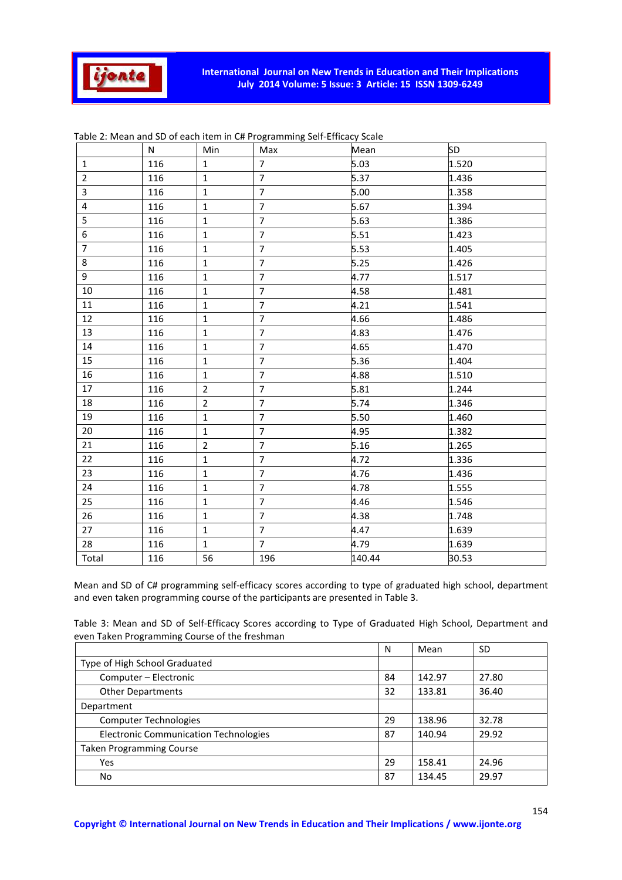

|                | N   | Min            | Max            | Mean   | <b>SD</b> |
|----------------|-----|----------------|----------------|--------|-----------|
| $\mathbf{1}$   | 116 | $\mathbf{1}$   | $\overline{7}$ | 5.03   | 1.520     |
| $\overline{2}$ | 116 | $\mathbf{1}$   | $\overline{7}$ | 5.37   | 1.436     |
| 3              | 116 | $\mathbf{1}$   | $\overline{7}$ | 5.00   | 1.358     |
| 4              | 116 | $\mathbf{1}$   | $\overline{7}$ | 5.67   | 1.394     |
| 5              | 116 | $\mathbf{1}$   | $\overline{7}$ | 5.63   | 1.386     |
| 6              | 116 | $1\,$          | $\overline{7}$ | 5.51   | 1.423     |
| $\overline{7}$ | 116 | $1\,$          | $\overline{7}$ | 5.53   | 1.405     |
| 8              | 116 | $\mathbf{1}$   | $\overline{7}$ | 5.25   | 1.426     |
| 9              | 116 | $1\,$          | $\overline{7}$ | 4.77   | 1.517     |
| 10             | 116 | $\mathbf{1}$   | $\overline{7}$ | 4.58   | 1.481     |
| 11             | 116 | $1\,$          | $\overline{7}$ | 4.21   | 1.541     |
| 12             | 116 | $1\,$          | $\overline{7}$ | 4.66   | 1.486     |
| 13             | 116 | $1\,$          | $\overline{7}$ | 4.83   | 1.476     |
| 14             | 116 | $1\,$          | $\overline{7}$ | 4.65   | 1.470     |
| 15             | 116 | $1\,$          | $\overline{7}$ | 5.36   | 1.404     |
| 16             | 116 | $1\,$          | $\overline{7}$ | 4.88   | 1.510     |
| 17             | 116 | $\overline{2}$ | $\overline{7}$ | 5.81   | 1.244     |
| 18             | 116 | $\overline{2}$ | $\overline{7}$ | 5.74   | 1.346     |
| 19             | 116 | $\mathbf{1}$   | $\overline{7}$ | 5.50   | 1.460     |
| 20             | 116 | $1\,$          | $\overline{7}$ | 4.95   | 1.382     |
| 21             | 116 | $\overline{2}$ | $\overline{7}$ | 5.16   | 1.265     |
| 22             | 116 | $1\,$          | $\overline{7}$ | 4.72   | 1.336     |
| 23             | 116 | $1\,$          | $\overline{7}$ | 4.76   | 1.436     |
| 24             | 116 | $1\,$          | $\overline{7}$ | 4.78   | 1.555     |
| 25             | 116 | $\mathbf{1}$   | $\overline{7}$ | 4.46   | 1.546     |
| 26             | 116 | $\mathbf{1}$   | $\overline{7}$ | 4.38   | 1.748     |
| 27             | 116 | $\mathbf{1}$   | $\overline{7}$ | 4.47   | 1.639     |
| 28             | 116 | $\mathbf{1}$   | $\overline{7}$ | 4.79   | 1.639     |
| Total          | 116 | 56             | 196            | 140.44 | 30.53     |

Mean and SD of C# programming self-efficacy scores according to type of graduated high school, department and even taken programming course of the participants are presented in Table 3.

Table 3: Mean and SD of Self-Efficacy Scores according to Type of Graduated High School, Department and even Taken Programming Course of the freshman

|                                              | N  | Mean   | <b>SD</b> |
|----------------------------------------------|----|--------|-----------|
| Type of High School Graduated                |    |        |           |
| Computer - Electronic                        | 84 | 142.97 | 27.80     |
| <b>Other Departments</b>                     | 32 | 133.81 | 36.40     |
| Department                                   |    |        |           |
| <b>Computer Technologies</b>                 | 29 | 138.96 | 32.78     |
| <b>Electronic Communication Technologies</b> | 87 | 140.94 | 29.92     |
| <b>Taken Programming Course</b>              |    |        |           |
| Yes                                          | 29 | 158.41 | 24.96     |
| No                                           | 87 | 134.45 | 29.97     |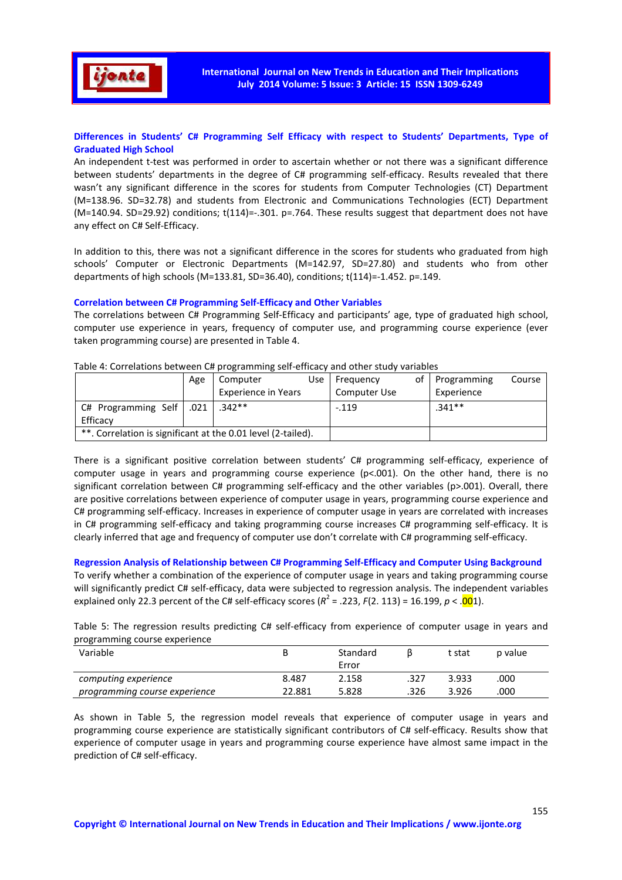

# **Differences in Students' C# Programming Self Efficacy with respect to Students' Departments, Type of Graduated High School**

An independent t-test was performed in order to ascertain whether or not there was a significant difference between students' departments in the degree of C# programming self-efficacy. Results revealed that there wasn't any significant difference in the scores for students from Computer Technologies (CT) Department (M=138.96. SD=32.78) and students from Electronic and Communications Technologies (ECT) Department (M=140.94. SD=29.92) conditions; t(114)=-.301. p=.764. These results suggest that department does not have any effect on C# Self-Efficacy.

In addition to this, there was not a significant difference in the scores for students who graduated from high schools' Computer or Electronic Departments (M=142.97, SD=27.80) and students who from other departments of high schools (M=133.81, SD=36.40), conditions; t(114)=-1.452. p=.149.

# **Correlation between C# Programming Self-Efficacy and Other Variables**

The correlations between C# Programming Self-Efficacy and participants' age, type of graduated high school, computer use experience in years, frequency of computer use, and programming course experience (ever taken programming course) are presented in Table 4.

|                                                              | Age  | Computer                   | Use | Freguency    | οt | Programming | Course |
|--------------------------------------------------------------|------|----------------------------|-----|--------------|----|-------------|--------|
|                                                              |      | <b>Experience in Years</b> |     | Computer Use |    | Experience  |        |
| $C#$ Programming Self                                        | .021 | $342**$                    |     | $-.119$      |    | $.341**$    |        |
| Efficacy                                                     |      |                            |     |              |    |             |        |
| **. Correlation is significant at the 0.01 level (2-tailed). |      |                            |     |              |    |             |        |

Table 4: Correlations between C# programming self-efficacy and other study variables

There is a significant positive correlation between students' C# programming self-efficacy, experience of computer usage in years and programming course experience (p<.001). On the other hand, there is no significant correlation between C# programming self-efficacy and the other variables (p>.001). Overall, there are positive correlations between experience of computer usage in years, programming course experience and C# programming self-efficacy. Increases in experience of computer usage in years are correlated with increases in C# programming self-efficacy and taking programming course increases C# programming self-efficacy. It is clearly inferred that age and frequency of computer use don't correlate with C# programming self-efficacy.

# **Regression Analysis of Relationship between C# Programming Self-Efficacy and Computer Using Background**

To verify whether a combination of the experience of computer usage in years and taking programming course will significantly predict C# self-efficacy, data were subjected to regression analysis. The independent variables explained only 22.3 percent of the C# self-efficacy scores ( $R^2$  = .223, *F*(2. 113) = 16.199, *p* < .001).

Table 5: The regression results predicting C# self-efficacy from experience of computer usage in years and programming course experience

| Variable                      |        | Standard<br>Error |      | t stat | p value |
|-------------------------------|--------|-------------------|------|--------|---------|
| computing experience          | 8.487  | 2.158             | .327 | 3.933  | .000    |
| programming course experience | 22.881 | 5.828             | .326 | 3.926  | .000    |

As shown in Table 5, the regression model reveals that experience of computer usage in years and programming course experience are statistically significant contributors of C# self-efficacy. Results show that experience of computer usage in years and programming course experience have almost same impact in the prediction of C# self-efficacy.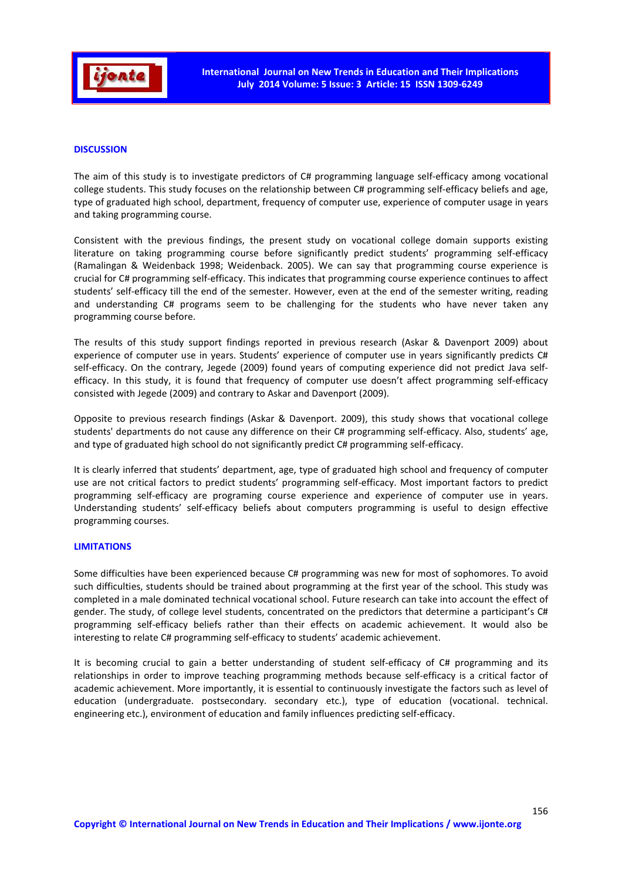

# **DISCUSSION**

The aim of this study is to investigate predictors of C# programming language self-efficacy among vocational college students. This study focuses on the relationship between C# programming self-efficacy beliefs and age, type of graduated high school, department, frequency of computer use, experience of computer usage in years and taking programming course.

Consistent with the previous findings, the present study on vocational college domain supports existing literature on taking programming course before significantly predict students' programming self-efficacy (Ramalingan & Weidenback 1998; Weidenback. 2005). We can say that programming course experience is crucial for C# programming self-efficacy. This indicates that programming course experience continues to affect students' self-efficacy till the end of the semester. However, even at the end of the semester writing, reading and understanding C# programs seem to be challenging for the students who have never taken any programming course before.

The results of this study support findings reported in previous research (Askar & Davenport 2009) about experience of computer use in years. Students' experience of computer use in years significantly predicts C# self-efficacy. On the contrary, Jegede (2009) found years of computing experience did not predict Java selfefficacy. In this study, it is found that frequency of computer use doesn't affect programming self-efficacy consisted with Jegede (2009) and contrary to Askar and Davenport (2009).

Opposite to previous research findings (Askar & Davenport. 2009), this study shows that vocational college students' departments do not cause any difference on their C# programming self-efficacy. Also, students' age, and type of graduated high school do not significantly predict C# programming self-efficacy.

It is clearly inferred that students' department, age, type of graduated high school and frequency of computer use are not critical factors to predict students' programming self-efficacy. Most important factors to predict programming self-efficacy are programing course experience and experience of computer use in years. Understanding students' self-efficacy beliefs about computers programming is useful to design effective programming courses.

## **LIMITATIONS**

Some difficulties have been experienced because C# programming was new for most of sophomores. To avoid such difficulties, students should be trained about programming at the first year of the school. This study was completed in a male dominated technical vocational school. Future research can take into account the effect of gender. The study, of college level students, concentrated on the predictors that determine a participant's C# programming self-efficacy beliefs rather than their effects on academic achievement. It would also be interesting to relate C# programming self-efficacy to students' academic achievement.

It is becoming crucial to gain a better understanding of student self-efficacy of C# programming and its relationships in order to improve teaching programming methods because self-efficacy is a critical factor of academic achievement. More importantly, it is essential to continuously investigate the factors such as level of education (undergraduate. postsecondary. secondary etc.), type of education (vocational. technical. engineering etc.), environment of education and family influences predicting self-efficacy.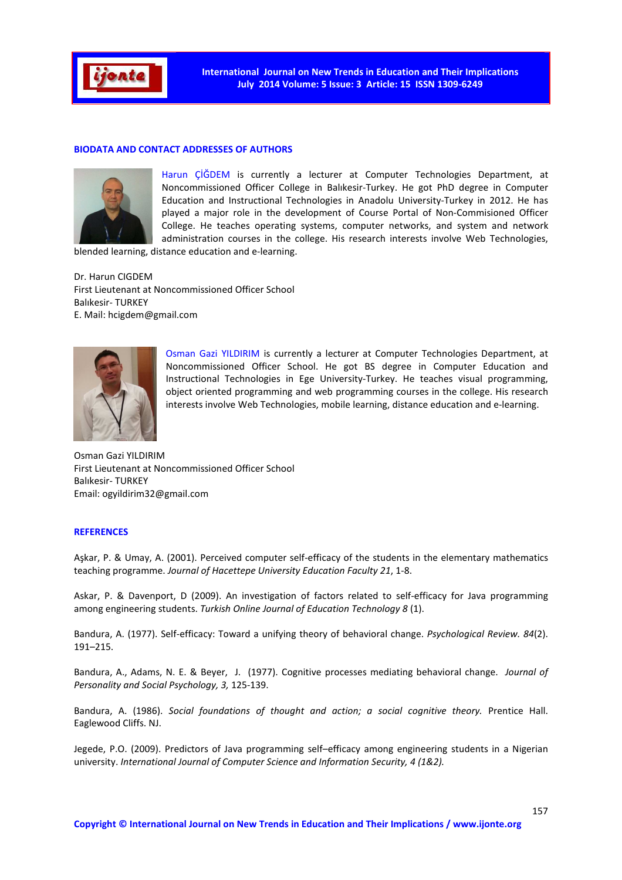

## **BIODATA AND CONTACT ADDRESSES OF AUTHORS**



Harun ÇİĞDEM is currently a lecturer at Computer Technologies Department, at Noncommissioned Officer College in Balıkesir-Turkey. He got PhD degree in Computer Education and Instructional Technologies in Anadolu University-Turkey in 2012. He has played a major role in the development of Course Portal of Non-Commisioned Officer College. He teaches operating systems, computer networks, and system and network administration courses in the college. His research interests involve Web Technologies,

blended learning, distance education and e-learning.

Dr. Harun CIGDEM First Lieutenant at Noncommissioned Officer School Balıkesir- TURKEY E. Mail: hcigdem@gmail.com



Osman Gazi YILDIRIM is currently a lecturer at Computer Technologies Department, at Noncommissioned Officer School. He got BS degree in Computer Education and Instructional Technologies in Ege University-Turkey. He teaches visual programming, object oriented programming and web programming courses in the college. His research interests involve Web Technologies, mobile learning, distance education and e-learning.

Osman Gazi YILDIRIM First Lieutenant at Noncommissioned Officer School Balıkesir- TURKEY Email: ogyildirim32@gmail.com

# **REFERENCES**

Aşkar, P. & Umay, A. (2001). Perceived computer self-efficacy of the students in the elementary mathematics teaching programme. *Journal of Hacettepe University Education Faculty 21*, 1-8.

Askar, P. & Davenport, D (2009). An investigation of factors related to self-efficacy for Java programming among engineering students. *Turkish Online Journal of Education Technology 8* (1).

Bandura, A. (1977). Self-efficacy: Toward a unifying theory of behavioral change. *Psychological Review. 84*(2). 191–215.

Bandura, A., Adams, N. E. & Beyer, J. (1977). Cognitive processes mediating behavioral change. *Journal of Personality and Social Psychology, 3,* 125-139.

Bandura, A. (1986). *Social foundations of thought and action; a social cognitive theory.* Prentice Hall. Eaglewood Cliffs. NJ.

Jegede, P.O. (2009). Predictors of Java programming self–efficacy among engineering students in a Nigerian university. *International Journal of Computer Science and Information Security, 4 (1&2).*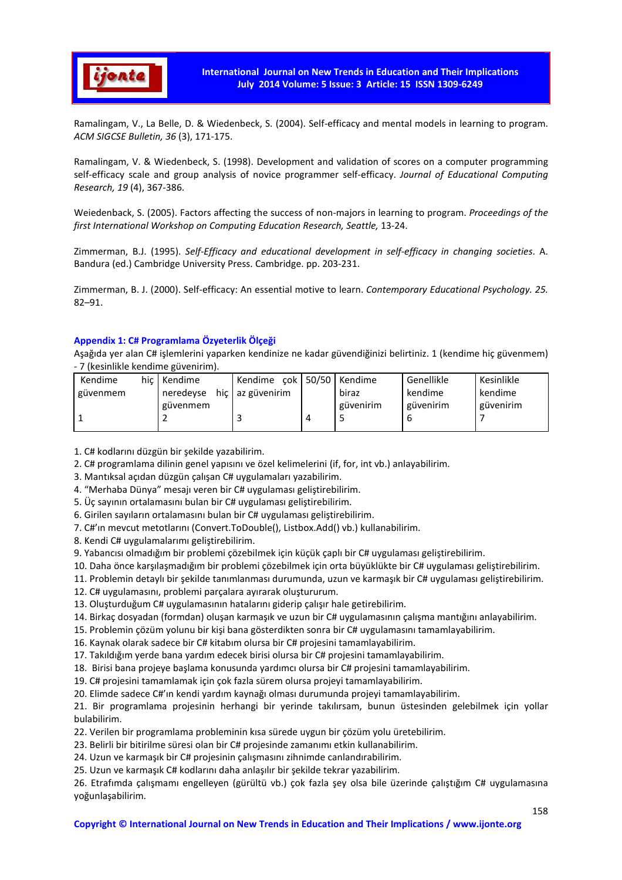

Ramalingam, V., La Belle, D. & Wiedenbeck, S. (2004). Self-efficacy and mental models in learning to program. *ACM SIGCSE Bulletin, 36* (3), 171-175.

Ramalingam, V. & Wiedenbeck, S. (1998). Development and validation of scores on a computer programming self-efficacy scale and group analysis of novice programmer self-efficacy. *Journal of Educational Computing Research, 19* (4), 367-386.

Weiedenback, S. (2005). Factors affecting the success of non-majors in learning to program. *Proceedings of the first International Workshop on Computing Education Research, Seattle,* 13-24.

Zimmerman, B.J. (1995). *Self-Efficacy and educational development in self-efficacy in changing societies*. A. Bandura (ed.) Cambridge University Press. Cambridge. pp. 203-231.

Zimmerman, B. J. (2000). Self-efficacy: An essential motive to learn. *Contemporary Educational Psychology. 25.* 82–91.

# **Appendix 1: C# Programlama Özyeterlik Ölçeği**

Aşağıda yer alan C# işlemlerini yaparken kendinize ne kadar güvendiğinizi belirtiniz. 1 (kendime hiç güvenmem) - 7 (kesinlikle kendime güvenirim).

| Kendime  | hic Kendime | Kendime cok 50/50 Kendime |   |           | Genellikle | Kesinlikle |
|----------|-------------|---------------------------|---|-----------|------------|------------|
| güvenmem | neredeyse   | hic az güvenirim          |   | biraz     | kendime    | kendime    |
|          | güvenmem    |                           |   | güvenirim | güvenirim  | güvenirim  |
|          |             |                           | 4 |           |            |            |
|          |             |                           |   |           |            |            |

1. C# kodlarını düzgün bir şekilde yazabilirim.

2. C# programlama dilinin genel yapısını ve özel kelimelerini (if, for, int vb.) anlayabilirim.

3. Mantıksal açıdan düzgün çalışan C# uygulamaları yazabilirim.

4. "Merhaba Dünya" mesajı veren bir C# uygulaması geliştirebilirim.

5. Üç sayının ortalamasını bulan bir C# uygulaması geliştirebilirim.

6. Girilen sayıların ortalamasını bulan bir C# uygulaması geliştirebilirim.

7. C#'ın mevcut metotlarını (Convert.ToDouble(), Listbox.Add() vb.) kullanabilirim.

8. Kendi C# uygulamalarımı geliştirebilirim.

9. Yabancısı olmadığım bir problemi çözebilmek için küçük çaplı bir C# uygulaması geliştirebilirim.

10. Daha önce karşılaşmadığım bir problemi çözebilmek için orta büyüklükte bir C# uygulaması geliştirebilirim.

11. Problemin detaylı bir şekilde tanımlanması durumunda, uzun ve karmaşık bir C# uygulaması geliştirebilirim.

12. C# uygulamasını, problemi parçalara ayırarak oluştururum.

13. Oluşturduğum C# uygulamasının hatalarını giderip çalışır hale getirebilirim.

14. Birkaç dosyadan (formdan) oluşan karmaşık ve uzun bir C# uygulamasının çalışma mantığını anlayabilirim.

15. Problemin çözüm yolunu bir kişi bana gösterdikten sonra bir C# uygulamasını tamamlayabilirim.

16. Kaynak olarak sadece bir C# kitabım olursa bir C# projesini tamamlayabilirim.

17. Takıldığım yerde bana yardım edecek birisi olursa bir C# projesini tamamlayabilirim.

18. Birisi bana projeye başlama konusunda yardımcı olursa bir C# projesini tamamlayabilirim.

19. C# projesini tamamlamak için çok fazla sürem olursa projeyi tamamlayabilirim.

20. Elimde sadece C#'ın kendi yardım kaynağı olması durumunda projeyi tamamlayabilirim.

21. Bir programlama projesinin herhangi bir yerinde takılırsam, bunun üstesinden gelebilmek için yollar bulabilirim.

22. Verilen bir programlama probleminin kısa sürede uygun bir çözüm yolu üretebilirim.

23. Belirli bir bitirilme süresi olan bir C# projesinde zamanımı etkin kullanabilirim.

24. Uzun ve karmaşık bir C# projesinin çalışmasını zihnimde canlandırabilirim.

25. Uzun ve karmaşık C# kodlarını daha anlaşılır bir şekilde tekrar yazabilirim.

26. Etrafımda çalışmamı engelleyen (gürültü vb.) çok fazla şey olsa bile üzerinde çalıştığım C# uygulamasına yoğunlaşabilirim.